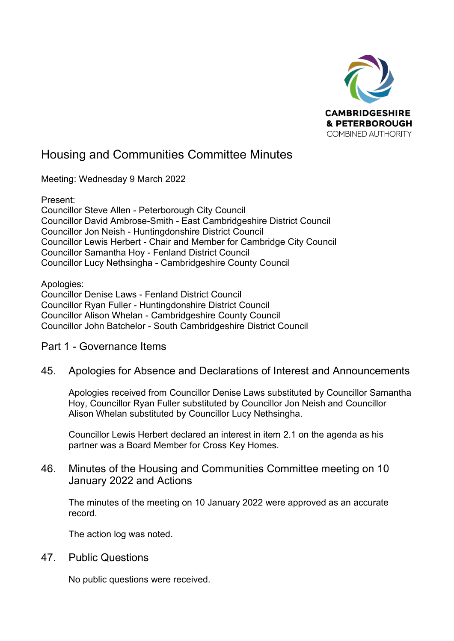

# Housing and Communities Committee Minutes

Meeting: Wednesday 9 March 2022

Present: Councillor Steve Allen - Peterborough City Council Councillor David Ambrose-Smith - East Cambridgeshire District Council Councillor Jon Neish - Huntingdonshire District Council Councillor Lewis Herbert - Chair and Member for Cambridge City Council Councillor Samantha Hoy - Fenland District Council Councillor Lucy Nethsingha - Cambridgeshire County Council

Apologies: Councillor Denise Laws - Fenland District Council Councillor Ryan Fuller - Huntingdonshire District Council Councillor Alison Whelan - Cambridgeshire County Council Councillor John Batchelor - South Cambridgeshire District Council

# Part 1 - Governance Items

45. Apologies for Absence and Declarations of Interest and Announcements

Apologies received from Councillor Denise Laws substituted by Councillor Samantha Hoy, Councillor Ryan Fuller substituted by Councillor Jon Neish and Councillor Alison Whelan substituted by Councillor Lucy Nethsingha.

Councillor Lewis Herbert declared an interest in item 2.1 on the agenda as his partner was a Board Member for Cross Key Homes.

### 46. Minutes of the Housing and Communities Committee meeting on 10 January 2022 and Actions

The minutes of the meeting on 10 January 2022 were approved as an accurate record.

The action log was noted.

47. Public Questions

No public questions were received.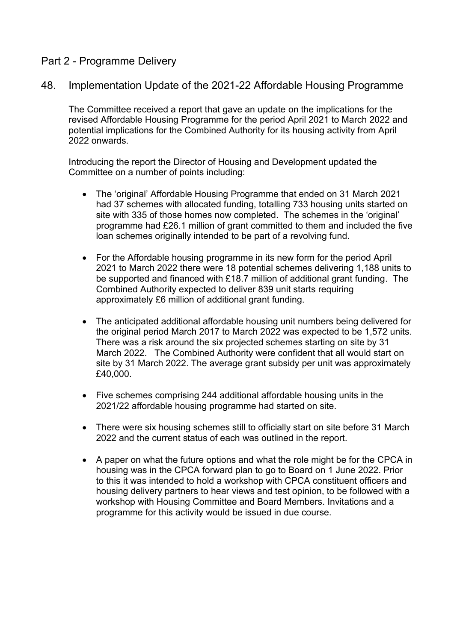# Part 2 - Programme Delivery

48. Implementation Update of the 2021-22 Affordable Housing Programme

The Committee received a report that gave an update on the implications for the revised Affordable Housing Programme for the period April 2021 to March 2022 and potential implications for the Combined Authority for its housing activity from April 2022 onwards.

Introducing the report the Director of Housing and Development updated the Committee on a number of points including:

- The 'original' Affordable Housing Programme that ended on 31 March 2021 had 37 schemes with allocated funding, totalling 733 housing units started on site with 335 of those homes now completed. The schemes in the 'original' programme had £26.1 million of grant committed to them and included the five loan schemes originally intended to be part of a revolving fund.
- For the Affordable housing programme in its new form for the period April 2021 to March 2022 there were 18 potential schemes delivering 1,188 units to be supported and financed with £18.7 million of additional grant funding. The Combined Authority expected to deliver 839 unit starts requiring approximately £6 million of additional grant funding.
- The anticipated additional affordable housing unit numbers being delivered for the original period March 2017 to March 2022 was expected to be 1,572 units. There was a risk around the six projected schemes starting on site by 31 March 2022. The Combined Authority were confident that all would start on site by 31 March 2022. The average grant subsidy per unit was approximately £40,000.
- Five schemes comprising 244 additional affordable housing units in the 2021/22 affordable housing programme had started on site.
- There were six housing schemes still to officially start on site before 31 March 2022 and the current status of each was outlined in the report.
- A paper on what the future options and what the role might be for the CPCA in housing was in the CPCA forward plan to go to Board on 1 June 2022. Prior to this it was intended to hold a workshop with CPCA constituent officers and housing delivery partners to hear views and test opinion, to be followed with a workshop with Housing Committee and Board Members. Invitations and a programme for this activity would be issued in due course.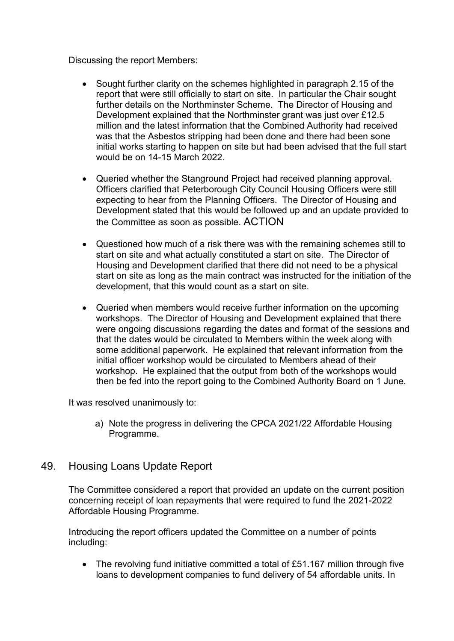Discussing the report Members:

- Sought further clarity on the schemes highlighted in paragraph 2.15 of the report that were still officially to start on site. In particular the Chair sought further details on the Northminster Scheme. The Director of Housing and Development explained that the Northminster grant was just over £12.5 million and the latest information that the Combined Authority had received was that the Asbestos stripping had been done and there had been sone initial works starting to happen on site but had been advised that the full start would be on 14-15 March 2022.
- Queried whether the Stanground Project had received planning approval. Officers clarified that Peterborough City Council Housing Officers were still expecting to hear from the Planning Officers. The Director of Housing and Development stated that this would be followed up and an update provided to the Committee as soon as possible. ACTION
- Questioned how much of a risk there was with the remaining schemes still to start on site and what actually constituted a start on site. The Director of Housing and Development clarified that there did not need to be a physical start on site as long as the main contract was instructed for the initiation of the development, that this would count as a start on site.
- Queried when members would receive further information on the upcoming workshops. The Director of Housing and Development explained that there were ongoing discussions regarding the dates and format of the sessions and that the dates would be circulated to Members within the week along with some additional paperwork. He explained that relevant information from the initial officer workshop would be circulated to Members ahead of their workshop. He explained that the output from both of the workshops would then be fed into the report going to the Combined Authority Board on 1 June.

It was resolved unanimously to:

a) Note the progress in delivering the CPCA 2021/22 Affordable Housing Programme.

# 49. Housing Loans Update Report

The Committee considered a report that provided an update on the current position concerning receipt of loan repayments that were required to fund the 2021-2022 Affordable Housing Programme.

Introducing the report officers updated the Committee on a number of points including:

• The revolving fund initiative committed a total of £51.167 million through five loans to development companies to fund delivery of 54 affordable units. In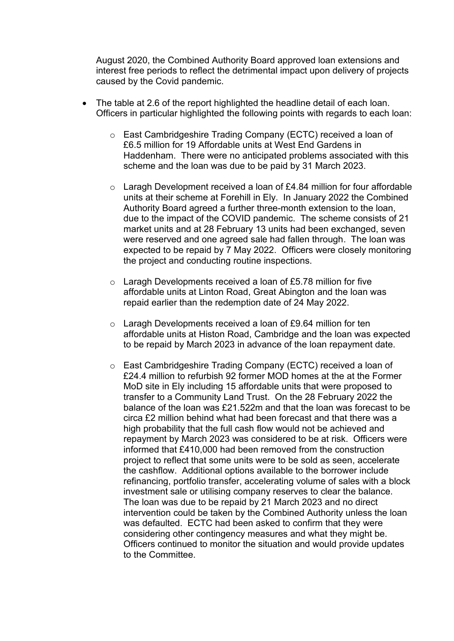August 2020, the Combined Authority Board approved loan extensions and interest free periods to reflect the detrimental impact upon delivery of projects caused by the Covid pandemic.

- The table at 2.6 of the report highlighted the headline detail of each loan. Officers in particular highlighted the following points with regards to each loan:
	- o East Cambridgeshire Trading Company (ECTC) received a loan of £6.5 million for 19 Affordable units at West End Gardens in Haddenham. There were no anticipated problems associated with this scheme and the loan was due to be paid by 31 March 2023.
	- o Laragh Development received a loan of £4.84 million for four affordable units at their scheme at Forehill in Ely. In January 2022 the Combined Authority Board agreed a further three-month extension to the loan, due to the impact of the COVID pandemic. The scheme consists of 21 market units and at 28 February 13 units had been exchanged, seven were reserved and one agreed sale had fallen through. The loan was expected to be repaid by 7 May 2022. Officers were closely monitoring the project and conducting routine inspections.
	- o Laragh Developments received a loan of £5.78 million for five affordable units at Linton Road, Great Abington and the loan was repaid earlier than the redemption date of 24 May 2022.
	- o Laragh Developments received a loan of £9.64 million for ten affordable units at Histon Road, Cambridge and the loan was expected to be repaid by March 2023 in advance of the loan repayment date.
	- o East Cambridgeshire Trading Company (ECTC) received a loan of £24.4 million to refurbish 92 former MOD homes at the at the Former MoD site in Ely including 15 affordable units that were proposed to transfer to a Community Land Trust. On the 28 February 2022 the balance of the loan was £21.522m and that the loan was forecast to be circa £2 million behind what had been forecast and that there was a high probability that the full cash flow would not be achieved and repayment by March 2023 was considered to be at risk. Officers were informed that £410,000 had been removed from the construction project to reflect that some units were to be sold as seen, accelerate the cashflow. Additional options available to the borrower include refinancing, portfolio transfer, accelerating volume of sales with a block investment sale or utilising company reserves to clear the balance. The loan was due to be repaid by 21 March 2023 and no direct intervention could be taken by the Combined Authority unless the loan was defaulted. ECTC had been asked to confirm that they were considering other contingency measures and what they might be. Officers continued to monitor the situation and would provide updates to the Committee.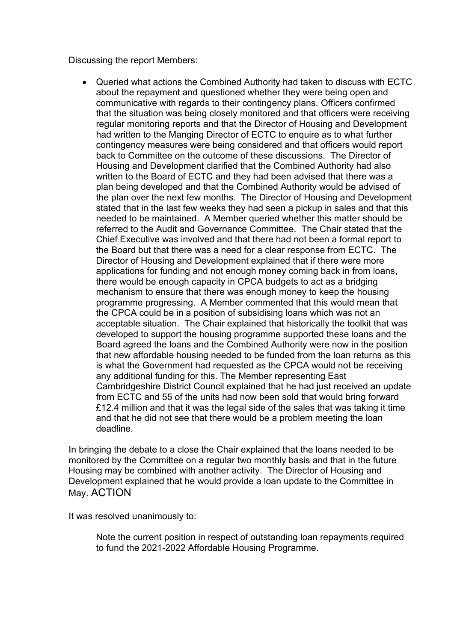Discussing the report Members:

• Queried what actions the Combined Authority had taken to discuss with ECTC about the repayment and questioned whether they were being open and communicative with regards to their contingency plans. Officers confirmed that the situation was being closely monitored and that officers were receiving regular monitoring reports and that the Director of Housing and Development had written to the Manging Director of ECTC to enquire as to what further contingency measures were being considered and that officers would report back to Committee on the outcome of these discussions. The Director of Housing and Development clarified that the Combined Authority had also written to the Board of ECTC and they had been advised that there was a plan being developed and that the Combined Authority would be advised of the plan over the next few months. The Director of Housing and Development stated that in the last few weeks they had seen a pickup in sales and that this needed to be maintained. A Member queried whether this matter should be referred to the Audit and Governance Committee. The Chair stated that the Chief Executive was involved and that there had not been a formal report to the Board but that there was a need for a clear response from ECTC. The Director of Housing and Development explained that if there were more applications for funding and not enough money coming back in from loans, there would be enough capacity in CPCA budgets to act as a bridging mechanism to ensure that there was enough money to keep the housing programme progressing. A Member commented that this would mean that the CPCA could be in a position of subsidising loans which was not an acceptable situation. The Chair explained that historically the toolkit that was developed to support the housing programme supported these loans and the Board agreed the loans and the Combined Authority were now in the position that new affordable housing needed to be funded from the loan returns as this is what the Government had requested as the CPCA would not be receiving any additional funding for this. The Member representing East Cambridgeshire District Council explained that he had just received an update from ECTC and 55 of the units had now been sold that would bring forward £12.4 million and that it was the legal side of the sales that was taking it time and that he did not see that there would be a problem meeting the loan deadline.

In bringing the debate to a close the Chair explained that the loans needed to be monitored by the Committee on a regular two monthly basis and that in the future Housing may be combined with another activity. The Director of Housing and Development explained that he would provide a loan update to the Committee in May. ACTION

It was resolved unanimously to:

Note the current position in respect of outstanding loan repayments required to fund the 2021-2022 Affordable Housing Programme.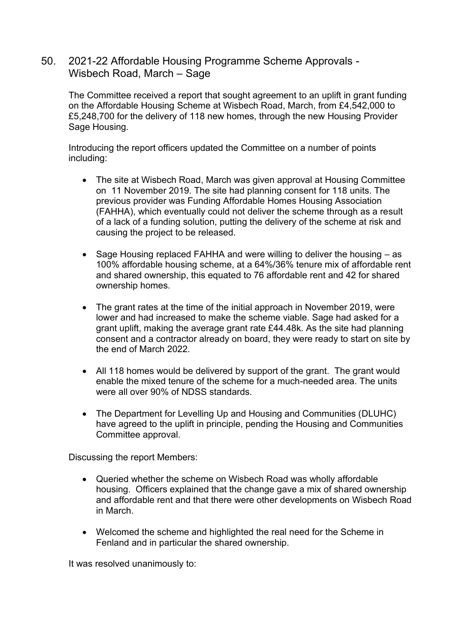### 50. 2021-22 Affordable Housing Programme Scheme Approvals - Wisbech Road, March – Sage

The Committee received a report that sought agreement to an uplift in grant funding on the Affordable Housing Scheme at Wisbech Road, March, from £4,542,000 to £5,248,700 for the delivery of 118 new homes, through the new Housing Provider Sage Housing.

Introducing the report officers updated the Committee on a number of points including:

- The site at Wisbech Road, March was given approval at Housing Committee on 11 November 2019. The site had planning consent for 118 units. The previous provider was Funding Affordable Homes Housing Association (FAHHA), which eventually could not deliver the scheme through as a result of a lack of a funding solution, putting the delivery of the scheme at risk and causing the project to be released.
- Sage Housing replaced FAHHA and were willing to deliver the housing as 100% affordable housing scheme, at a 64%/36% tenure mix of affordable rent and shared ownership, this equated to 76 affordable rent and 42 for shared ownership homes.
- The grant rates at the time of the initial approach in November 2019, were lower and had increased to make the scheme viable. Sage had asked for a grant uplift, making the average grant rate £44.48k. As the site had planning consent and a contractor already on board, they were ready to start on site by the end of March 2022.
- All 118 homes would be delivered by support of the grant. The grant would enable the mixed tenure of the scheme for a much-needed area. The units were all over 90% of NDSS standards.
- The Department for Levelling Up and Housing and Communities (DLUHC) have agreed to the uplift in principle, pending the Housing and Communities Committee approval.

Discussing the report Members:

- Queried whether the scheme on Wisbech Road was wholly affordable housing. Officers explained that the change gave a mix of shared ownership and affordable rent and that there were other developments on Wisbech Road in March.
- Welcomed the scheme and highlighted the real need for the Scheme in Fenland and in particular the shared ownership.

It was resolved unanimously to: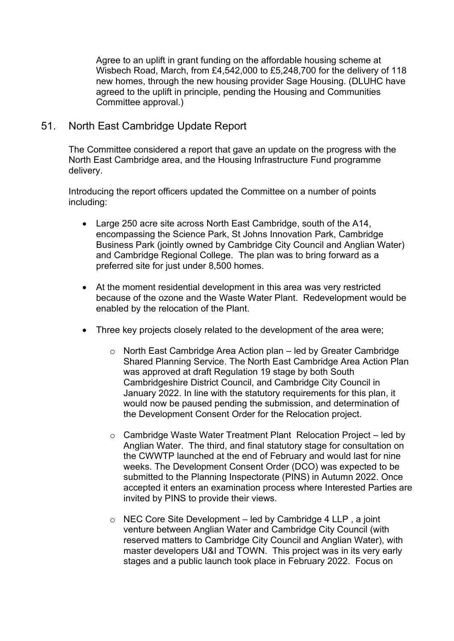Agree to an uplift in grant funding on the affordable housing scheme at Wisbech Road, March, from £4,542,000 to £5,248,700 for the delivery of 118 new homes, through the new housing provider Sage Housing. (DLUHC have agreed to the uplift in principle, pending the Housing and Communities Committee approval.)

#### 51. North East Cambridge Update Report

The Committee considered a report that gave an update on the progress with the North East Cambridge area, and the Housing Infrastructure Fund programme delivery.

Introducing the report officers updated the Committee on a number of points including:

- Large 250 acre site across North East Cambridge, south of the A14, encompassing the Science Park, St Johns Innovation Park, Cambridge Business Park (jointly owned by Cambridge City Council and Anglian Water) and Cambridge Regional College. The plan was to bring forward as a preferred site for just under 8,500 homes.
- At the moment residential development in this area was very restricted because of the ozone and the Waste Water Plant. Redevelopment would be enabled by the relocation of the Plant.
- Three key projects closely related to the development of the area were;
	- o North East Cambridge Area Action plan led by Greater Cambridge Shared Planning Service. The North East Cambridge Area Action Plan was approved at draft Regulation 19 stage by both South Cambridgeshire District Council, and Cambridge City Council in January 2022. In line with the statutory requirements for this plan, it would now be paused pending the submission, and determination of the Development Consent Order for the Relocation project.
	- o Cambridge Waste Water Treatment Plant Relocation Project led by Anglian Water. The third, and final statutory stage for consultation on the CWWTP launched at the end of February and would last for nine weeks. The Development Consent Order (DCO) was expected to be submitted to the Planning Inspectorate (PINS) in Autumn 2022. Once accepted it enters an examination process where Interested Parties are invited by PINS to provide their views.
	- $\circ$  NEC Core Site Development led by Cambridge 4 LLP, a joint venture between Anglian Water and Cambridge City Council (with reserved matters to Cambridge City Council and Anglian Water), with master developers U&I and TOWN. This project was in its very early stages and a public launch took place in February 2022. Focus on